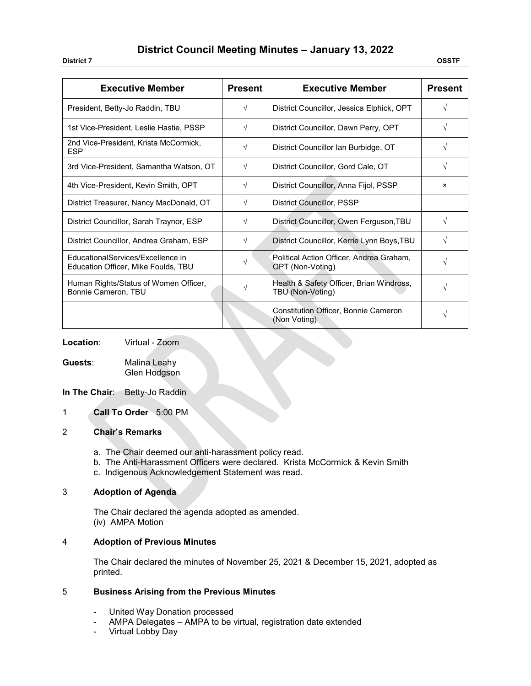# **District Council Meeting Minutes – January 13, 2022**

**District 7 OSSTF**

| <b>Executive Member</b>                                                         | <b>Present</b> | <b>Executive Member</b>                                      | <b>Present</b> |
|---------------------------------------------------------------------------------|----------------|--------------------------------------------------------------|----------------|
| President, Betty-Jo Raddin, TBU                                                 | $\sqrt{}$      | District Councillor, Jessica Elphick, OPT                    | V              |
| 1st Vice-President, Leslie Hastie, PSSP                                         | V              | District Councillor, Dawn Perry, OPT                         |                |
| 2nd Vice-President, Krista McCormick,<br><b>ESP</b>                             | V              | District Councillor Ian Burbidge, OT<br>V                    |                |
| 3rd Vice-President, Samantha Watson, OT                                         | V              | District Councillor, Gord Cale, OT                           | V              |
| 4th Vice-President, Kevin Smith, OPT                                            | $\sqrt{ }$     | District Councillor, Anna Fijol, PSSP                        | ×              |
| District Treasurer, Nancy MacDonald, OT                                         | V              | District Councillor, PSSP                                    |                |
| District Councillor, Sarah Traynor, ESP                                         | V              | District Councillor, Owen Ferguson, TBU                      | V              |
| District Councillor, Andrea Graham, ESP                                         | V              | District Councillor, Kerrie Lynn Boys, TBU                   | V              |
| <b>EducationalServices/Excellence in</b><br>Education Officer, Mike Foulds, TBU | V              | Political Action Officer, Andrea Graham,<br>OPT (Non-Voting) | V              |
| Human Rights/Status of Women Officer,<br>Bonnie Cameron, TBU                    |                | Health & Safety Officer, Brian Windross,<br>TBU (Non-Voting) | V              |
|                                                                                 |                | <b>Constitution Officer, Bonnie Cameron</b><br>(Non Voting)  | V              |

**Location**: Virtual - Zoom

**Guests**: Malina Leahy Glen Hodgson

**In The Chair:** Betty-Jo Raddin

1 **Call To Order** 5:00 PM

### 2 **Chair's Remarks**

- a. The Chair deemed our anti-harassment policy read.
- b. The Anti-Harassment Officers were declared. Krista McCormick & Kevin Smith
- c. Indigenous Acknowledgement Statement was read.

# 3 **Adoption of Agenda**

The Chair declared the agenda adopted as amended. (iv) AMPA Motion

### 4 **Adoption of Previous Minutes**

The Chair declared the minutes of November 25, 2021 & December 15, 2021, adopted as printed.

# 5 **Business Arising from the Previous Minutes**

- United Way Donation processed
- AMPA Delegates AMPA to be virtual, registration date extended
- Virtual Lobby Day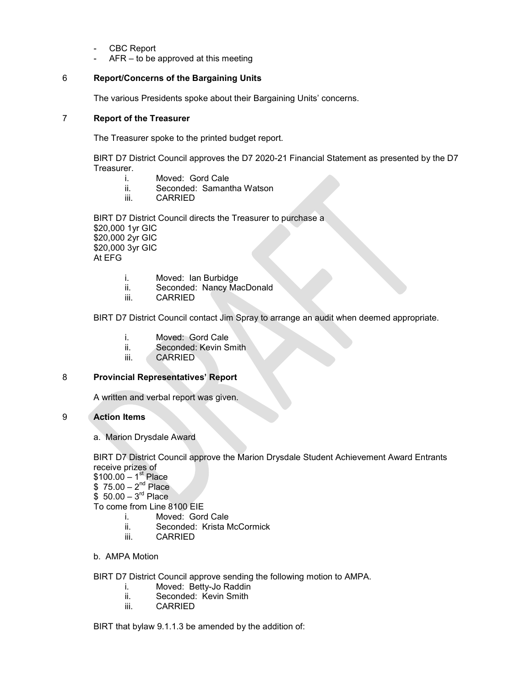- CBC Report
- $AFR -$  to be approved at this meeting

# 6 **Report/Concerns of the Bargaining Units**

The various Presidents spoke about their Bargaining Units' concerns.

# 7 **Report of the Treasurer**

The Treasurer spoke to the printed budget report.

BIRT D7 District Council approves the D7 2020-21 Financial Statement as presented by the D7 Treasurer.

- i. Moved: Gord Cale<br>ii Seconded: Samant
- Seconded: Samantha Watson
- iii. CARRIED

BIRT D7 District Council directs the Treasurer to purchase a \$20,000 1yr GIC \$20,000 2yr GIC \$20,000 3yr GIC At EFG

- i. Moved: Ian Burbidge
- ii. Seconded: Nancy MacDonald
- iii. CARRIED

BIRT D7 District Council contact Jim Spray to arrange an audit when deemed appropriate.

- i. Moved: Gord Cale
- ii. Seconded: Kevin Smith
- iii. CARRIED

### 8 **Provincial Representatives' Report**

A written and verbal report was given.

# 9 **Action Items**

a. Marion Drysdale Award

BIRT D7 District Council approve the Marion Drysdale Student Achievement Award Entrants receive prizes of  $$100.00 - 1<sup>st</sup>$  Place

 $$75.00 - 2<sup>nd</sup> Place$ 

 $$50.00 - 3<sup>rd</sup>$  Place

To come from Line 8100 EIE

- i. Moved: Gord Cale
- ii. Seconded: Krista McCormick
- iii. CARRIED
- b. AMPA Motion

### BIRT D7 District Council approve sending the following motion to AMPA.

- i. Moved: Betty-Jo Raddin<br>ii. Seconded: Kevin Smith
- Seconded: Kevin Smith
- iii. CARRIED

### BIRT that bylaw 9.1.1.3 be amended by the addition of: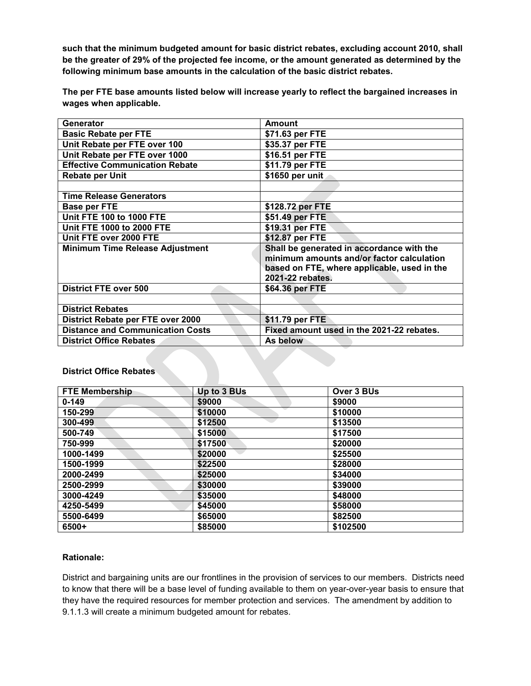**such that the minimum budgeted amount for basic district rebates, excluding account 2010, shall be the greater of 29% of the projected fee income, or the amount generated as determined by the following minimum base amounts in the calculation of the basic district rebates.** 

**The per FTE base amounts listed below will increase yearly to reflect the bargained increases in wages when applicable.** 

| Generator                               | Amount                                                                                                                                                    |
|-----------------------------------------|-----------------------------------------------------------------------------------------------------------------------------------------------------------|
| <b>Basic Rebate per FTE</b>             | \$71.63 per FTE                                                                                                                                           |
| Unit Rebate per FTE over 100            | \$35.37 per FTE                                                                                                                                           |
| Unit Rebate per FTE over 1000           | \$16.51 per FTE                                                                                                                                           |
| <b>Effective Communication Rebate</b>   | \$11.79 per FTE                                                                                                                                           |
| <b>Rebate per Unit</b>                  | \$1650 per unit                                                                                                                                           |
|                                         |                                                                                                                                                           |
| <b>Time Release Generators</b>          |                                                                                                                                                           |
| <b>Base per FTE</b>                     | \$128.72 per FTE                                                                                                                                          |
| <b>Unit FTE 100 to 1000 FTE</b>         | \$51.49 per FTE                                                                                                                                           |
| <b>Unit FTE 1000 to 2000 FTE</b>        | \$19.31 per FTE                                                                                                                                           |
| Unit FTE over 2000 FTE                  | \$12.87 per FTE                                                                                                                                           |
| <b>Minimum Time Release Adjustment</b>  | Shall be generated in accordance with the<br>minimum amounts and/or factor calculation<br>based on FTE, where applicable, used in the<br>2021-22 rebates. |
| <b>District FTE over 500</b>            | \$64.36 per FTE                                                                                                                                           |
|                                         |                                                                                                                                                           |
| <b>District Rebates</b>                 |                                                                                                                                                           |
| District Rebate per FTE over 2000       | \$11.79 per FTE                                                                                                                                           |
| <b>Distance and Communication Costs</b> | Fixed amount used in the 2021-22 rebates.                                                                                                                 |
| <b>District Office Rebates</b>          | As below                                                                                                                                                  |

# **District Office Rebates**

| <b>FTE Membership</b> | Up to 3 BUs | Over 3 BUs |
|-----------------------|-------------|------------|
| $0 - 149$             | \$9000      | \$9000     |
| 150-299               | \$10000     | \$10000    |
| 300-499               | \$12500     | \$13500    |
| 500-749               | \$15000     | \$17500    |
| 750-999               | \$17500     | \$20000    |
| 1000-1499             | \$20000     | \$25500    |
| 1500-1999             | \$22500     | \$28000    |
| 2000-2499             | \$25000     | \$34000    |
| 2500-2999             | \$30000     | \$39000    |
| 3000-4249             | \$35000     | \$48000    |
| 4250-5499             | \$45000     | \$58000    |
| 5500-6499             | \$65000     | \$82500    |
| 6500+                 | \$85000     | \$102500   |

## **Rationale:**

District and bargaining units are our frontlines in the provision of services to our members. Districts need to know that there will be a base level of funding available to them on year-over-year basis to ensure that they have the required resources for member protection and services. The amendment by addition to 9.1.1.3 will create a minimum budgeted amount for rebates.